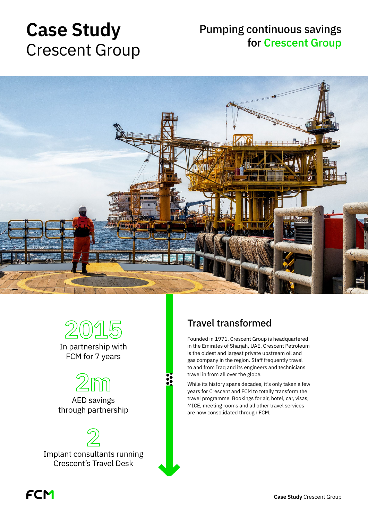# **Case Study** Crescent Group

# Pumping continuous savings for Crescent Group





In partnership with FCM for 7 years



AED savings through partnership



# Travel transformed

Founded in 1971. Crescent Group is headquartered in the Emirates of Sharjah, UAE. Crescent Petroleum is the oldest and largest private upstream oil and gas company in the region. Staff frequently travel to and from Iraq and its engineers and technicians travel in from all over the globe.

While its history spans decades, it's only taken a few years for Crescent and FCM to totally transform the travel programme. Bookings for air, hotel, car, visas, MICE, meeting rooms and all other travel services are now consolidated through FCM.